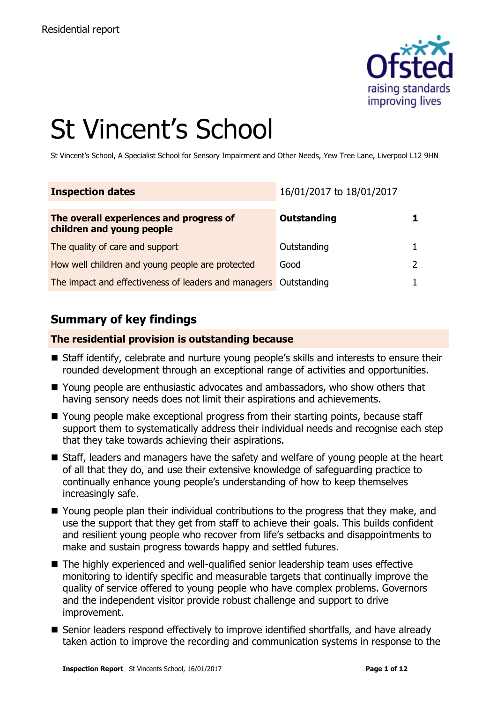

# St Vincent's School

St Vincent's School, A Specialist School for Sensory Impairment and Other Needs, Yew Tree Lane, Liverpool L12 9HN

| <b>Inspection dates</b>                                              | 16/01/2017 to 18/01/2017 |  |
|----------------------------------------------------------------------|--------------------------|--|
| The overall experiences and progress of<br>children and young people | Outstanding              |  |
| The quality of care and support                                      | Outstanding              |  |
| How well children and young people are protected                     | Good                     |  |
| The impact and effectiveness of leaders and managers Outstanding     |                          |  |

### **Summary of key findings**

#### **The residential provision is outstanding because**

- Staff identify, celebrate and nurture young people's skills and interests to ensure their rounded development through an exceptional range of activities and opportunities.
- Young people are enthusiastic advocates and ambassadors, who show others that having sensory needs does not limit their aspirations and achievements.
- Young people make exceptional progress from their starting points, because staff support them to systematically address their individual needs and recognise each step that they take towards achieving their aspirations.
- Staff, leaders and managers have the safety and welfare of young people at the heart of all that they do, and use their extensive knowledge of safeguarding practice to continually enhance young people's understanding of how to keep themselves increasingly safe.
- Young people plan their individual contributions to the progress that they make, and use the support that they get from staff to achieve their goals. This builds confident and resilient young people who recover from life's setbacks and disappointments to make and sustain progress towards happy and settled futures.
- The highly experienced and well-qualified senior leadership team uses effective monitoring to identify specific and measurable targets that continually improve the quality of service offered to young people who have complex problems. Governors and the independent visitor provide robust challenge and support to drive improvement.
- Senior leaders respond effectively to improve identified shortfalls, and have already taken action to improve the recording and communication systems in response to the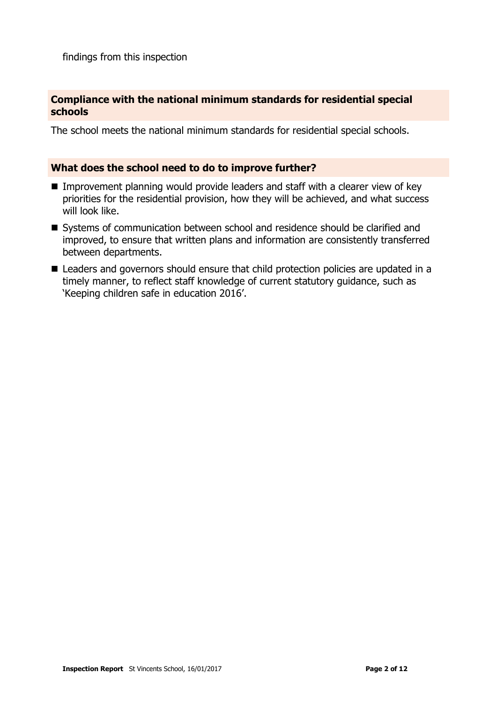findings from this inspection

#### **Compliance with the national minimum standards for residential special schools**

The school meets the national minimum standards for residential special schools.

#### **What does the school need to do to improve further?**

- Improvement planning would provide leaders and staff with a clearer view of key priorities for the residential provision, how they will be achieved, and what success will look like.
- Systems of communication between school and residence should be clarified and improved, to ensure that written plans and information are consistently transferred between departments.
- Leaders and governors should ensure that child protection policies are updated in a timely manner, to reflect staff knowledge of current statutory guidance, such as 'Keeping children safe in education 2016'.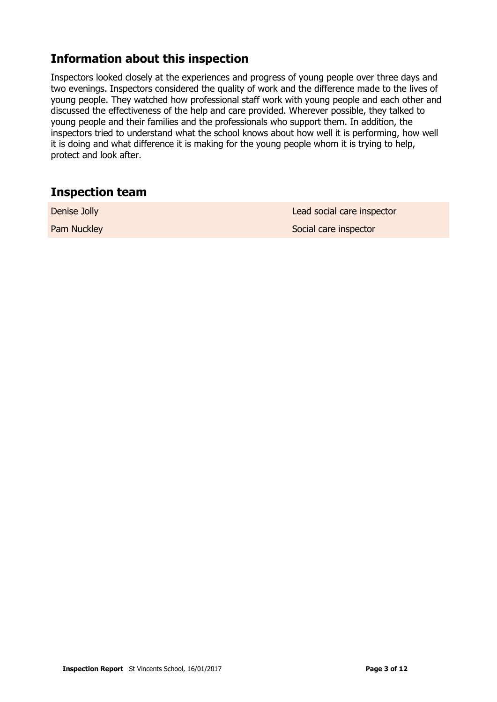# **Information about this inspection**

Inspectors looked closely at the experiences and progress of young people over three days and two evenings. Inspectors considered the quality of work and the difference made to the lives of young people. They watched how professional staff work with young people and each other and discussed the effectiveness of the help and care provided. Wherever possible, they talked to young people and their families and the professionals who support them. In addition, the inspectors tried to understand what the school knows about how well it is performing, how well it is doing and what difference it is making for the young people whom it is trying to help, protect and look after.

#### **Inspection team**

| Denise Jolly | Lead social care inspector |
|--------------|----------------------------|
| Pam Nuckley  | Social care inspector      |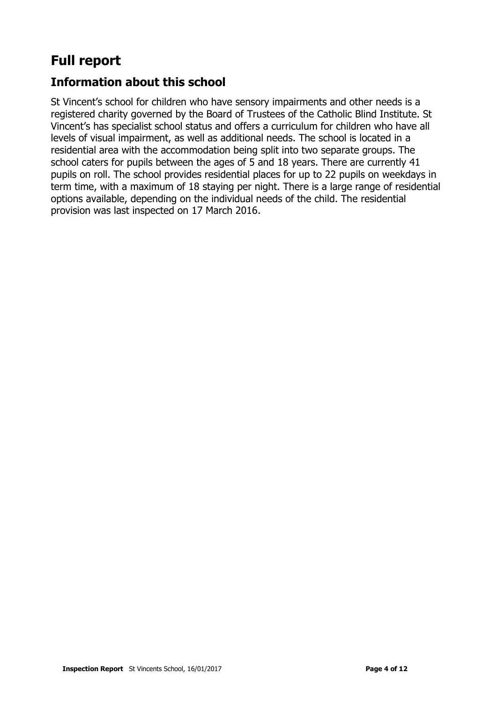# **Full report**

## **Information about this school**

St Vincent's school for children who have sensory impairments and other needs is a registered charity governed by the Board of Trustees of the Catholic Blind Institute. St Vincent's has specialist school status and offers a curriculum for children who have all levels of visual impairment, as well as additional needs. The school is located in a residential area with the accommodation being split into two separate groups. The school caters for pupils between the ages of 5 and 18 years. There are currently 41 pupils on roll. The school provides residential places for up to 22 pupils on weekdays in term time, with a maximum of 18 staying per night. There is a large range of residential options available, depending on the individual needs of the child. The residential provision was last inspected on 17 March 2016.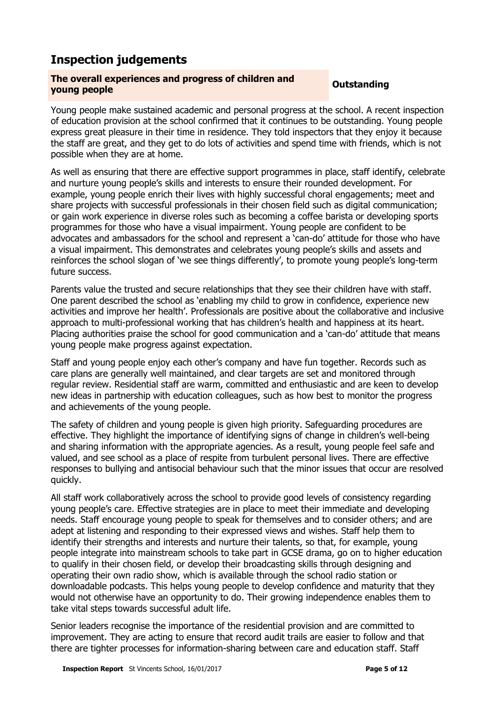# **Inspection judgements**

# **The overall experiences and progress of children and young people Outstanding**

Young people make sustained academic and personal progress at the school. A recent inspection of education provision at the school confirmed that it continues to be outstanding. Young people express great pleasure in their time in residence. They told inspectors that they enjoy it because the staff are great, and they get to do lots of activities and spend time with friends, which is not possible when they are at home.

As well as ensuring that there are effective support programmes in place, staff identify, celebrate and nurture young people's skills and interests to ensure their rounded development. For example, young people enrich their lives with highly successful choral engagements; meet and share projects with successful professionals in their chosen field such as digital communication; or gain work experience in diverse roles such as becoming a coffee barista or developing sports programmes for those who have a visual impairment. Young people are confident to be advocates and ambassadors for the school and represent a 'can-do' attitude for those who have a visual impairment. This demonstrates and celebrates young people's skills and assets and reinforces the school slogan of 'we see things differently', to promote young people's long-term future success.

Parents value the trusted and secure relationships that they see their children have with staff. One parent described the school as 'enabling my child to grow in confidence, experience new activities and improve her health'. Professionals are positive about the collaborative and inclusive approach to multi-professional working that has children's health and happiness at its heart. Placing authorities praise the school for good communication and a 'can-do' attitude that means young people make progress against expectation.

Staff and young people enjoy each other's company and have fun together. Records such as care plans are generally well maintained, and clear targets are set and monitored through regular review. Residential staff are warm, committed and enthusiastic and are keen to develop new ideas in partnership with education colleagues, such as how best to monitor the progress and achievements of the young people.

The safety of children and young people is given high priority. Safeguarding procedures are effective. They highlight the importance of identifying signs of change in children's well-being and sharing information with the appropriate agencies. As a result, young people feel safe and valued, and see school as a place of respite from turbulent personal lives. There are effective responses to bullying and antisocial behaviour such that the minor issues that occur are resolved quickly.

All staff work collaboratively across the school to provide good levels of consistency regarding young people's care. Effective strategies are in place to meet their immediate and developing needs. Staff encourage young people to speak for themselves and to consider others; and are adept at listening and responding to their expressed views and wishes. Staff help them to identify their strengths and interests and nurture their talents, so that, for example, young people integrate into mainstream schools to take part in GCSE drama, go on to higher education to qualify in their chosen field, or develop their broadcasting skills through designing and operating their own radio show, which is available through the school radio station or downloadable podcasts. This helps young people to develop confidence and maturity that they would not otherwise have an opportunity to do. Their growing independence enables them to take vital steps towards successful adult life.

Senior leaders recognise the importance of the residential provision and are committed to improvement. They are acting to ensure that record audit trails are easier to follow and that there are tighter processes for information-sharing between care and education staff. Staff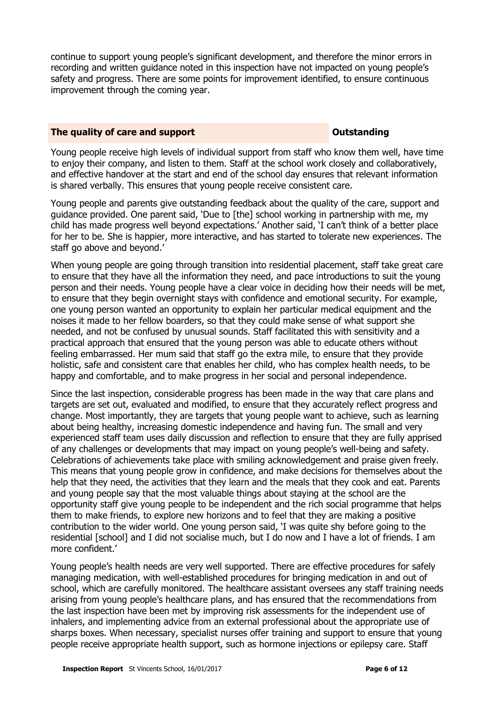continue to support young people's significant development, and therefore the minor errors in recording and written guidance noted in this inspection have not impacted on young people's safety and progress. There are some points for improvement identified, to ensure continuous improvement through the coming year.

#### **The quality of care and support CONSTANDING CONSTANDING CONSTANDING CONSTANDING CONSTANDING CONSTANDING CONSTANDING CONSTANDING CONSTANDING CONSTANDING CONSTANDING CONSTANDING CONSTANDING CONSTANDING CONSTANDING CONSTAN**

Young people receive high levels of individual support from staff who know them well, have time to enjoy their company, and listen to them. Staff at the school work closely and collaboratively, and effective handover at the start and end of the school day ensures that relevant information is shared verbally. This ensures that young people receive consistent care.

Young people and parents give outstanding feedback about the quality of the care, support and guidance provided. One parent said, 'Due to [the] school working in partnership with me, my child has made progress well beyond expectations.' Another said, 'I can't think of a better place for her to be. She is happier, more interactive, and has started to tolerate new experiences. The staff go above and beyond.'

When young people are going through transition into residential placement, staff take great care to ensure that they have all the information they need, and pace introductions to suit the young person and their needs. Young people have a clear voice in deciding how their needs will be met, to ensure that they begin overnight stays with confidence and emotional security. For example, one young person wanted an opportunity to explain her particular medical equipment and the noises it made to her fellow boarders, so that they could make sense of what support she needed, and not be confused by unusual sounds. Staff facilitated this with sensitivity and a practical approach that ensured that the young person was able to educate others without feeling embarrassed. Her mum said that staff go the extra mile, to ensure that they provide holistic, safe and consistent care that enables her child, who has complex health needs, to be happy and comfortable, and to make progress in her social and personal independence.

Since the last inspection, considerable progress has been made in the way that care plans and targets are set out, evaluated and modified, to ensure that they accurately reflect progress and change. Most importantly, they are targets that young people want to achieve, such as learning about being healthy, increasing domestic independence and having fun. The small and very experienced staff team uses daily discussion and reflection to ensure that they are fully apprised of any challenges or developments that may impact on young people's well-being and safety. Celebrations of achievements take place with smiling acknowledgement and praise given freely. This means that young people grow in confidence, and make decisions for themselves about the help that they need, the activities that they learn and the meals that they cook and eat. Parents and young people say that the most valuable things about staying at the school are the opportunity staff give young people to be independent and the rich social programme that helps them to make friends, to explore new horizons and to feel that they are making a positive contribution to the wider world. One young person said, 'I was quite shy before going to the residential [school] and I did not socialise much, but I do now and I have a lot of friends. I am more confident.'

Young people's health needs are very well supported. There are effective procedures for safely managing medication, with well-established procedures for bringing medication in and out of school, which are carefully monitored. The healthcare assistant oversees any staff training needs arising from young people's healthcare plans, and has ensured that the recommendations from the last inspection have been met by improving risk assessments for the independent use of inhalers, and implementing advice from an external professional about the appropriate use of sharps boxes. When necessary, specialist nurses offer training and support to ensure that young people receive appropriate health support, such as hormone injections or epilepsy care. Staff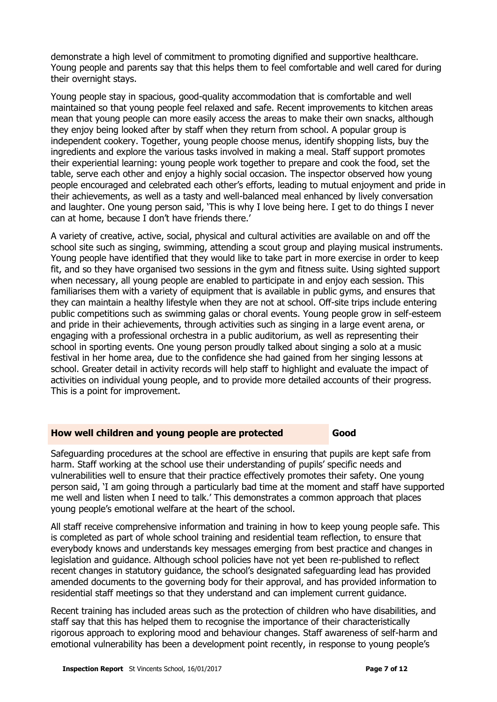demonstrate a high level of commitment to promoting dignified and supportive healthcare. Young people and parents say that this helps them to feel comfortable and well cared for during their overnight stays.

Young people stay in spacious, good-quality accommodation that is comfortable and well maintained so that young people feel relaxed and safe. Recent improvements to kitchen areas mean that young people can more easily access the areas to make their own snacks, although they enjoy being looked after by staff when they return from school. A popular group is independent cookery. Together, young people choose menus, identify shopping lists, buy the ingredients and explore the various tasks involved in making a meal. Staff support promotes their experiential learning: young people work together to prepare and cook the food, set the table, serve each other and enjoy a highly social occasion. The inspector observed how young people encouraged and celebrated each other's efforts, leading to mutual enjoyment and pride in their achievements, as well as a tasty and well-balanced meal enhanced by lively conversation and laughter. One young person said, 'This is why I love being here. I get to do things I never can at home, because I don't have friends there.'

A variety of creative, active, social, physical and cultural activities are available on and off the school site such as singing, swimming, attending a scout group and playing musical instruments. Young people have identified that they would like to take part in more exercise in order to keep fit, and so they have organised two sessions in the gym and fitness suite. Using sighted support when necessary, all young people are enabled to participate in and enjoy each session. This familiarises them with a variety of equipment that is available in public gyms, and ensures that they can maintain a healthy lifestyle when they are not at school. Off-site trips include entering public competitions such as swimming galas or choral events. Young people grow in self-esteem and pride in their achievements, through activities such as singing in a large event arena, or engaging with a professional orchestra in a public auditorium, as well as representing their school in sporting events. One young person proudly talked about singing a solo at a music festival in her home area, due to the confidence she had gained from her singing lessons at school. Greater detail in activity records will help staff to highlight and evaluate the impact of activities on individual young people, and to provide more detailed accounts of their progress. This is a point for improvement.

#### **How well children and young people are protected <b>Good**

Safeguarding procedures at the school are effective in ensuring that pupils are kept safe from harm. Staff working at the school use their understanding of pupils' specific needs and vulnerabilities well to ensure that their practice effectively promotes their safety. One young person said, 'I am going through a particularly bad time at the moment and staff have supported me well and listen when I need to talk.' This demonstrates a common approach that places young people's emotional welfare at the heart of the school.

All staff receive comprehensive information and training in how to keep young people safe. This is completed as part of whole school training and residential team reflection, to ensure that everybody knows and understands key messages emerging from best practice and changes in legislation and guidance. Although school policies have not yet been re-published to reflect recent changes in statutory guidance, the school's designated safeguarding lead has provided amended documents to the governing body for their approval, and has provided information to residential staff meetings so that they understand and can implement current guidance.

Recent training has included areas such as the protection of children who have disabilities, and staff say that this has helped them to recognise the importance of their characteristically rigorous approach to exploring mood and behaviour changes. Staff awareness of self-harm and emotional vulnerability has been a development point recently, in response to young people's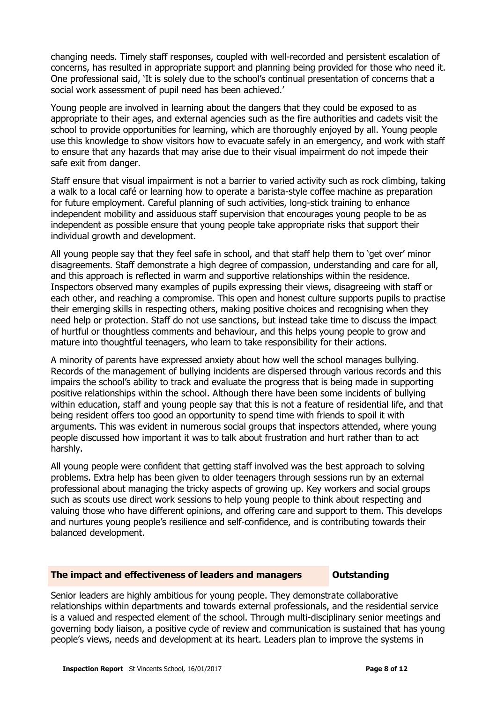changing needs. Timely staff responses, coupled with well-recorded and persistent escalation of concerns, has resulted in appropriate support and planning being provided for those who need it. One professional said, 'It is solely due to the school's continual presentation of concerns that a social work assessment of pupil need has been achieved.'

Young people are involved in learning about the dangers that they could be exposed to as appropriate to their ages, and external agencies such as the fire authorities and cadets visit the school to provide opportunities for learning, which are thoroughly enjoyed by all. Young people use this knowledge to show visitors how to evacuate safely in an emergency, and work with staff to ensure that any hazards that may arise due to their visual impairment do not impede their safe exit from danger.

Staff ensure that visual impairment is not a barrier to varied activity such as rock climbing, taking a walk to a local café or learning how to operate a barista-style coffee machine as preparation for future employment. Careful planning of such activities, long-stick training to enhance independent mobility and assiduous staff supervision that encourages young people to be as independent as possible ensure that young people take appropriate risks that support their individual growth and development.

All young people say that they feel safe in school, and that staff help them to 'get over' minor disagreements. Staff demonstrate a high degree of compassion, understanding and care for all, and this approach is reflected in warm and supportive relationships within the residence. Inspectors observed many examples of pupils expressing their views, disagreeing with staff or each other, and reaching a compromise. This open and honest culture supports pupils to practise their emerging skills in respecting others, making positive choices and recognising when they need help or protection. Staff do not use sanctions, but instead take time to discuss the impact of hurtful or thoughtless comments and behaviour, and this helps young people to grow and mature into thoughtful teenagers, who learn to take responsibility for their actions.

A minority of parents have expressed anxiety about how well the school manages bullying. Records of the management of bullying incidents are dispersed through various records and this impairs the school's ability to track and evaluate the progress that is being made in supporting positive relationships within the school. Although there have been some incidents of bullying within education, staff and young people say that this is not a feature of residential life, and that being resident offers too good an opportunity to spend time with friends to spoil it with arguments. This was evident in numerous social groups that inspectors attended, where young people discussed how important it was to talk about frustration and hurt rather than to act harshly.

All young people were confident that getting staff involved was the best approach to solving problems. Extra help has been given to older teenagers through sessions run by an external professional about managing the tricky aspects of growing up. Key workers and social groups such as scouts use direct work sessions to help young people to think about respecting and valuing those who have different opinions, and offering care and support to them. This develops and nurtures young people's resilience and self-confidence, and is contributing towards their balanced development.

#### **The impact and effectiveness of leaders and managers Outstanding**

Senior leaders are highly ambitious for young people. They demonstrate collaborative relationships within departments and towards external professionals, and the residential service is a valued and respected element of the school. Through multi-disciplinary senior meetings and governing body liaison, a positive cycle of review and communication is sustained that has young people's views, needs and development at its heart. Leaders plan to improve the systems in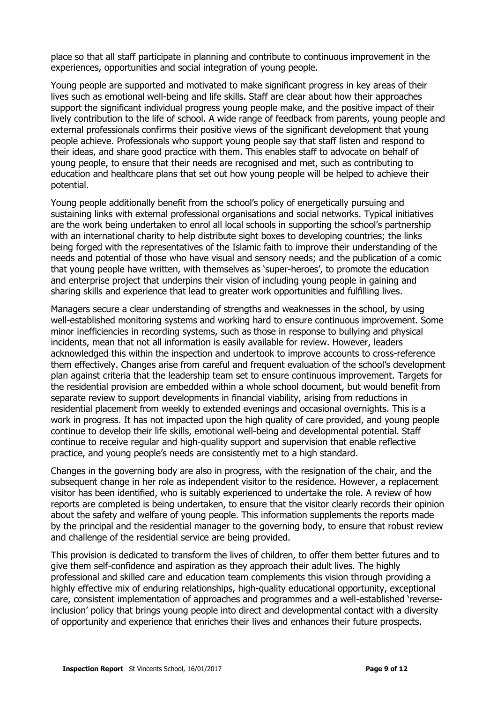place so that all staff participate in planning and contribute to continuous improvement in the experiences, opportunities and social integration of young people.

Young people are supported and motivated to make significant progress in key areas of their lives such as emotional well-being and life skills. Staff are clear about how their approaches support the significant individual progress young people make, and the positive impact of their lively contribution to the life of school. A wide range of feedback from parents, young people and external professionals confirms their positive views of the significant development that young people achieve. Professionals who support young people say that staff listen and respond to their ideas, and share good practice with them. This enables staff to advocate on behalf of young people, to ensure that their needs are recognised and met, such as contributing to education and healthcare plans that set out how young people will be helped to achieve their potential.

Young people additionally benefit from the school's policy of energetically pursuing and sustaining links with external professional organisations and social networks. Typical initiatives are the work being undertaken to enrol all local schools in supporting the school's partnership with an international charity to help distribute sight boxes to developing countries; the links being forged with the representatives of the Islamic faith to improve their understanding of the needs and potential of those who have visual and sensory needs; and the publication of a comic that young people have written, with themselves as 'super-heroes', to promote the education and enterprise project that underpins their vision of including young people in gaining and sharing skills and experience that lead to greater work opportunities and fulfilling lives.

Managers secure a clear understanding of strengths and weaknesses in the school, by using well-established monitoring systems and working hard to ensure continuous improvement. Some minor inefficiencies in recording systems, such as those in response to bullying and physical incidents, mean that not all information is easily available for review. However, leaders acknowledged this within the inspection and undertook to improve accounts to cross-reference them effectively. Changes arise from careful and frequent evaluation of the school's development plan against criteria that the leadership team set to ensure continuous improvement. Targets for the residential provision are embedded within a whole school document, but would benefit from separate review to support developments in financial viability, arising from reductions in residential placement from weekly to extended evenings and occasional overnights. This is a work in progress. It has not impacted upon the high quality of care provided, and young people continue to develop their life skills, emotional well-being and developmental potential. Staff continue to receive regular and high-quality support and supervision that enable reflective practice, and young people's needs are consistently met to a high standard.

Changes in the governing body are also in progress, with the resignation of the chair, and the subsequent change in her role as independent visitor to the residence. However, a replacement visitor has been identified, who is suitably experienced to undertake the role. A review of how reports are completed is being undertaken, to ensure that the visitor clearly records their opinion about the safety and welfare of young people. This information supplements the reports made by the principal and the residential manager to the governing body, to ensure that robust review and challenge of the residential service are being provided.

This provision is dedicated to transform the lives of children, to offer them better futures and to give them self-confidence and aspiration as they approach their adult lives. The highly professional and skilled care and education team complements this vision through providing a highly effective mix of enduring relationships, high-quality educational opportunity, exceptional care, consistent implementation of approaches and programmes and a well-established 'reverseinclusion' policy that brings young people into direct and developmental contact with a diversity of opportunity and experience that enriches their lives and enhances their future prospects.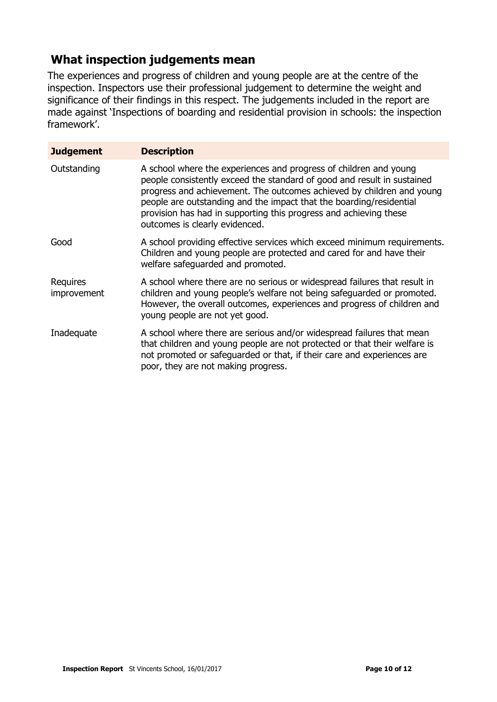### **What inspection judgements mean**

The experiences and progress of children and young people are at the centre of the inspection. Inspectors use their professional judgement to determine the weight and significance of their findings in this respect. The judgements included in the report are made against 'Inspections of boarding and residential provision in schools: the inspection framework'.

| <b>Judgement</b>        | <b>Description</b>                                                                                                                                                                                                                                                                                                                                                                                  |
|-------------------------|-----------------------------------------------------------------------------------------------------------------------------------------------------------------------------------------------------------------------------------------------------------------------------------------------------------------------------------------------------------------------------------------------------|
| Outstanding             | A school where the experiences and progress of children and young<br>people consistently exceed the standard of good and result in sustained<br>progress and achievement. The outcomes achieved by children and young<br>people are outstanding and the impact that the boarding/residential<br>provision has had in supporting this progress and achieving these<br>outcomes is clearly evidenced. |
| Good                    | A school providing effective services which exceed minimum requirements.<br>Children and young people are protected and cared for and have their<br>welfare safequarded and promoted.                                                                                                                                                                                                               |
| Requires<br>improvement | A school where there are no serious or widespread failures that result in<br>children and young people's welfare not being safeguarded or promoted.<br>However, the overall outcomes, experiences and progress of children and<br>young people are not yet good.                                                                                                                                    |
| Inadequate              | A school where there are serious and/or widespread failures that mean<br>that children and young people are not protected or that their welfare is<br>not promoted or safeguarded or that, if their care and experiences are<br>poor, they are not making progress.                                                                                                                                 |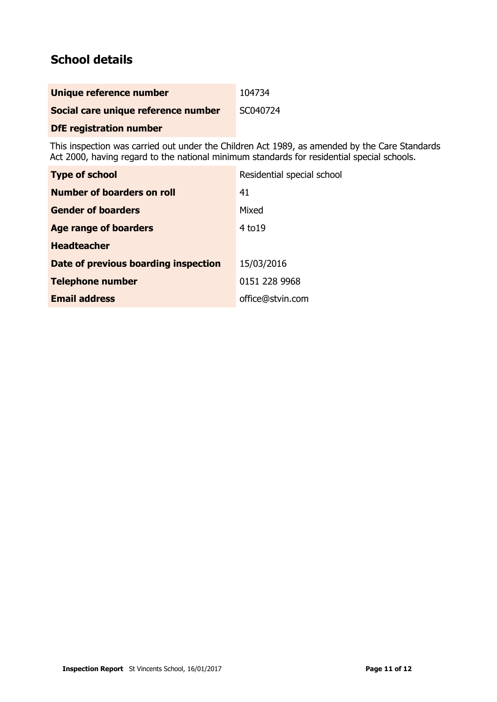# **School details**

| Unique reference number             | 104734   |
|-------------------------------------|----------|
| Social care unique reference number | SC040724 |
| <b>DfE registration number</b>      |          |

This inspection was carried out under the Children Act 1989, as amended by the Care Standards Act 2000, having regard to the national minimum standards for residential special schools.

| <b>Type of school</b>                | Residential special school |
|--------------------------------------|----------------------------|
| Number of boarders on roll           | 41                         |
| <b>Gender of boarders</b>            | Mixed                      |
| Age range of boarders                | 4 to 19                    |
| <b>Headteacher</b>                   |                            |
| Date of previous boarding inspection | 15/03/2016                 |
| <b>Telephone number</b>              | 0151 228 9968              |
| <b>Email address</b>                 | office@stvin.com           |